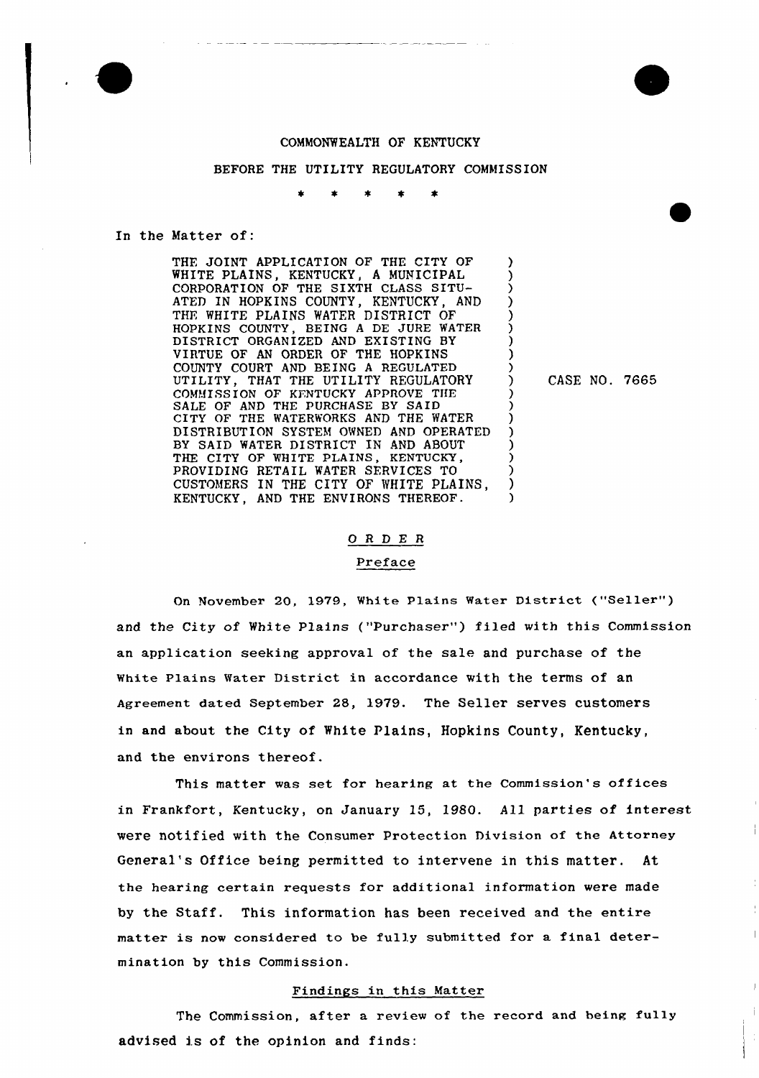

### COMMONWEALTH OF KENTUCKY

#### BEFORE THE UTILITY REGULATORY COMMISSION

#### In the Matter of:

THE JOINT APPLICATION OF THE CITY OF WHITE PLAINS, KENTUCKY, <sup>A</sup> MUNICIPAL CORPORATION OF THE SIXTH CLASS SITU-ATED IN HOPKINS COUNTY, KENTUCKY, AND THE WHITE PLAINS WATER DISTRICT OF HOPKINS COUNTY, BEING A DE JURE WATER DISTRICT ORGANIZED AND EXISTING BY VIRTUE OF AN ORDER OF THE HOPKINS COUNTY COURT AND BEING <sup>A</sup> REGULATED UTILITY, THAT THE UTILITY REGULATORY COMMISSION OF KENTUCKY APPROVE THE SALE OF AND THE PURCHASE BY SAID CITY OF THE WATERWORKS AND THE WATER DISTRIBUTION SYSTEM OWNED AND OPERATED BY SAID WATER DISTRICT IN AND ABOUT THE CITY OF WHITE PLAINS, KENTUCKY, PROVIDING RETAIL WATER SFRVICES TO CUSTOMERS IN THE CITY OF WHITE PLAINS, KENTUCKY, AND THE ENVIRONS THEREOF.

) CASE NO. 7665

) ) ) ) ) ) ) ) )

> ) ) ) ) ) ) ) ) )

# ORDER

### Preface

On November 20, 1979, White Plains Water District ("Seller" ) and the City of White Plains ("Purchaser") filed with this Commission an application seeking approval of the sale and purchase of the white plains water District in accordance with the terms of an Agreement dated September 28, 1979. The Seller serves customers in and about the City of White Plains, Hopkins County, Kentucky, and the environs thereof.

This matter was set for hearing at the Commission's offices in Frankfort, Kentucky, on January 15, 1980. All parties of interest vere notified with the Consumer Protection Division of the Attorney General's Office being permitted to intervene in this matter. At the hearing certain requests for additional information were made by the Staff. This information has been received and the entire matter is now considered to be fully submitted for a final determination by this Commission.

#### Findings in this Matter

The Commission, after a review of the record and being fully advised is of the opinion and finds: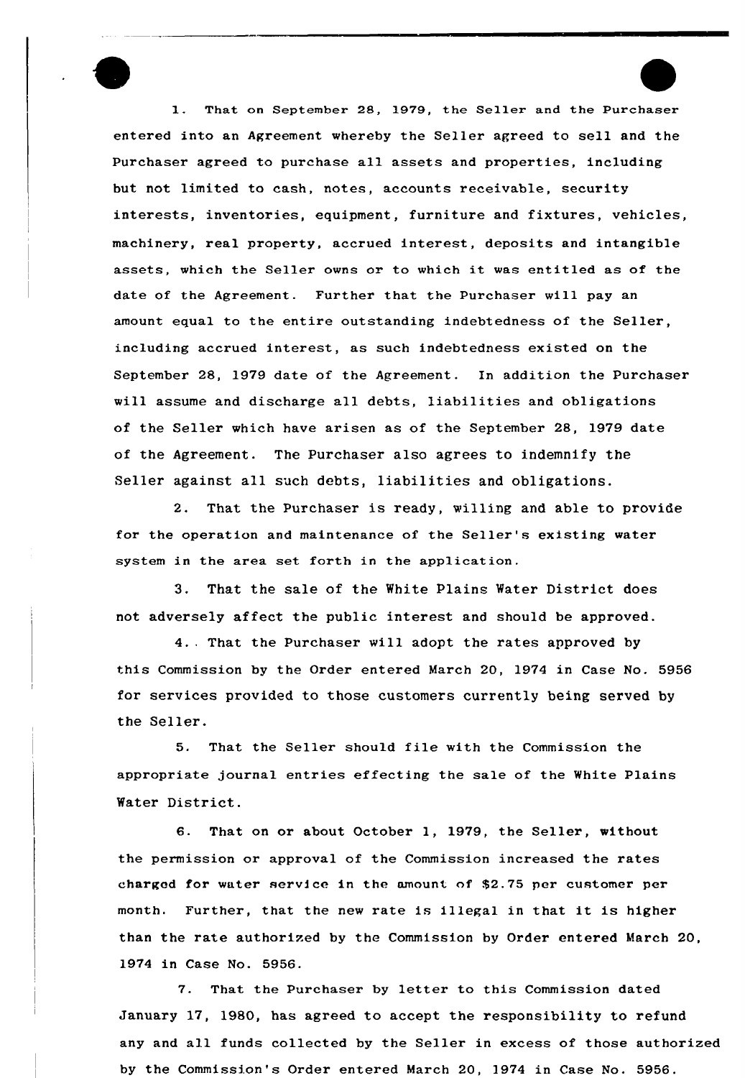l. That on September 2S, 1979, the Seller and the Purchaser entered into an Agreement whereby the Seller agreed to sell and the Purchaser agreed to purchase a11 assets and properties, including but not limited to cash, notes, accounts receivable, security interests, inventories, equipment, furniture and fixtures, vehicles, machinery, real property, accrued interest, deposits and intangible assets, which the Seller owns or to which it was entitled as of the date of the Agreement. Further that the Purchaser will pay an amount equal to the entire outstanding indebtedness of the Seller, including accrued interest, as such indebtedness existed on the September 28, 1979 date of the Agreement. In addition the Purchaser will assume and discharge all debts, liabilities and obligations of the Seller which have arisen as of the September 28, 1979 date of the Agreement. The Purchaser also agrees to indemnify the Seller against all such debts, liabilities and obligations.

2. That the Purchaser is ready, willing and able to provide for the operation and maintenance of the Seller's existing water system in the area set forth in the application.

3. That the sale of the White plains Water District does not adversely affect the public interest and should be approved.

4.. That the Purchaser will adopt the rates approved by this Commission by the Order entered March 20, 1974 in Case No. 5956 for services provided to those customers currently being served by the Seller.

5. That the Seller should file with the Commission the appropriate journal entries effecting the sale of the White Plains Water District.

6. That on or about October 1, 1979, the Seller, without the permission or approval of the Commission increased the rates charged for water service in the amount of \$2.75 per customer per month. Further, that the new rate is illegal in that it is higher than the rate authorized by the Commission by Order entered March 20, 1974 in Case No. 5956.

7. That the Purchaser by letter to this Commission dated January 17, 1980, has agreed to accept the responsibility to refund any and all funds collected by the Seller in excess of those authorized by the Commission's Order entered March 20, 1974 in Case No. 5956.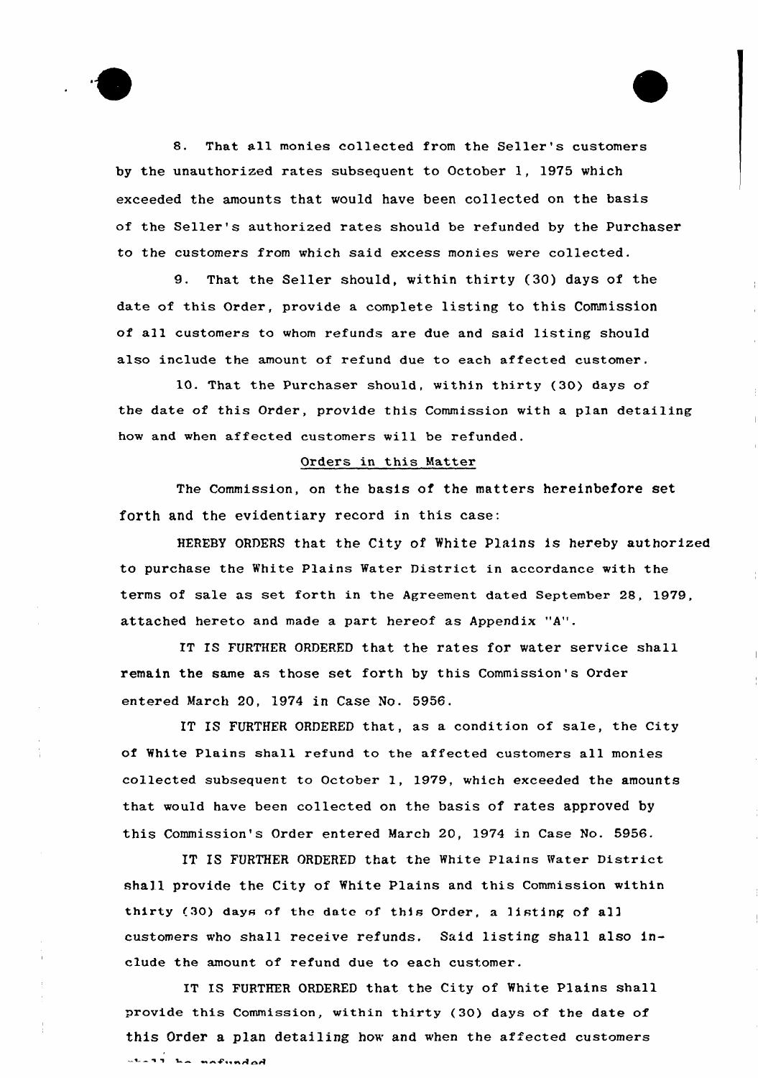

8. That all monies collected from the Seller's customers by the unauthorized rates subsequent to October 1, 1975 which exceeded the amounts that would have been co11ected on the basis of the Seller's authorized rates should be refunded by the Purchaser to the customers from which said excess monies were collected.

9. That the Seller should, within thirty (30) days of the date of this order, provide a complete listing to this Commission of all customers to whom refunds are due and said listing should also include the amount of refund due to each affected customer.

10. That the Purchaser should, within thirty (30) days of the date of this Order, provide this Commission with a plan detailing how and when affected customers will be refunded.

## Orders in this Matter

The Commission, on the basis of the matters hereinbefore set forth and the evidentiary record in this case:

HEREBY ORDERS that the City of White Plains is hereby authorized to purchase the White Plains Water District in accordance with the terms of sale as set forth in the Agreement dated September 28, 1979, attached hereto and made a part hereof as Appendix "A".

IT IS FURTHER ORDERFD that the rates for water service shall remain the same as those set forth by this Commission's Order entered March 20, 1974 in Case No. 5956.

IT IS FURTHER ORDERED that, as a condition of sale, the City of White Plains shall refund to the affected customers all monies collected subsequent to October 1, 1979, which exceeded the amounts that would have been collected on the basis of rates approved by this Commission's Order entered March 20, 1974 in Case No. 5956.

IT IS FURTHER ORDERED that the White Plains Water District shall provide the City of White Plains and this Commission within thirty (30) days of the date of this Order, a listing of a11 customers who shall receive refunds. Said listing shall also include the amount of refund due to each customer.

IT IS FURTHER ORDERED that the City of White Plains shall provide this Commission, within thirty (30) days of the date of this Order a plan detailing how and when the affected customers $-1 - 11$  is exfunded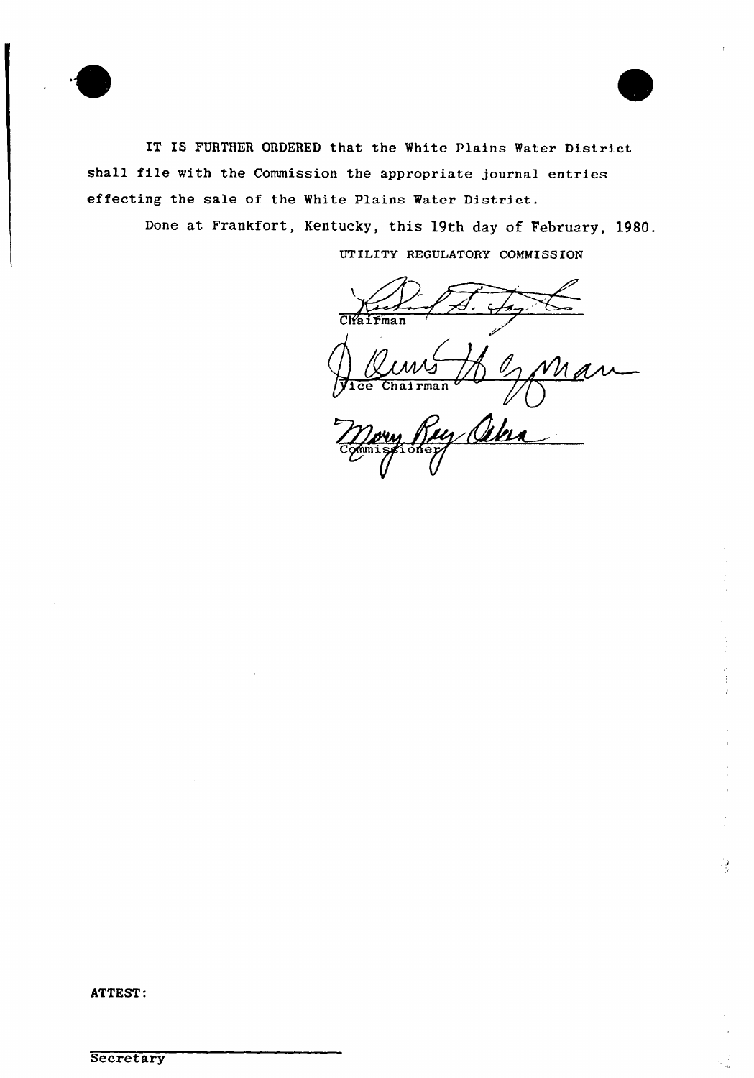



IT IS FURTHER ORDERED that the White Plains Water District shall file with the Commission the appropriate journal entries effecting the sale of the White Plains Water District.

> Done at Frankfort, Kentucky, this 19th day of February, 1980. UTILITY REGULATORY COMMISSION

 $C<sub>1</sub>$   $C<sub>1</sub>$   $C<sub>1</sub>$   $C<sub>1</sub>$   $C<sub>1</sub>$   $C<sub>1</sub>$   $C<sub>1</sub>$   $C<sub>1</sub>$   $C<sub>1</sub>$   $C<sub>1</sub>$   $C<sub>1</sub>$   $C<sub>1</sub>$   $C<sub>1</sub>$   $C<sub>1</sub>$   $C<sub>1</sub>$   $C<sub>1</sub>$   $C<sub>1</sub>$   $C<sub>1</sub>$   $C<sub>1</sub>$   $C<sub>1</sub>$   $\sim$ ice Chairma mery  $\widetilde{U}$ 

ATTEST: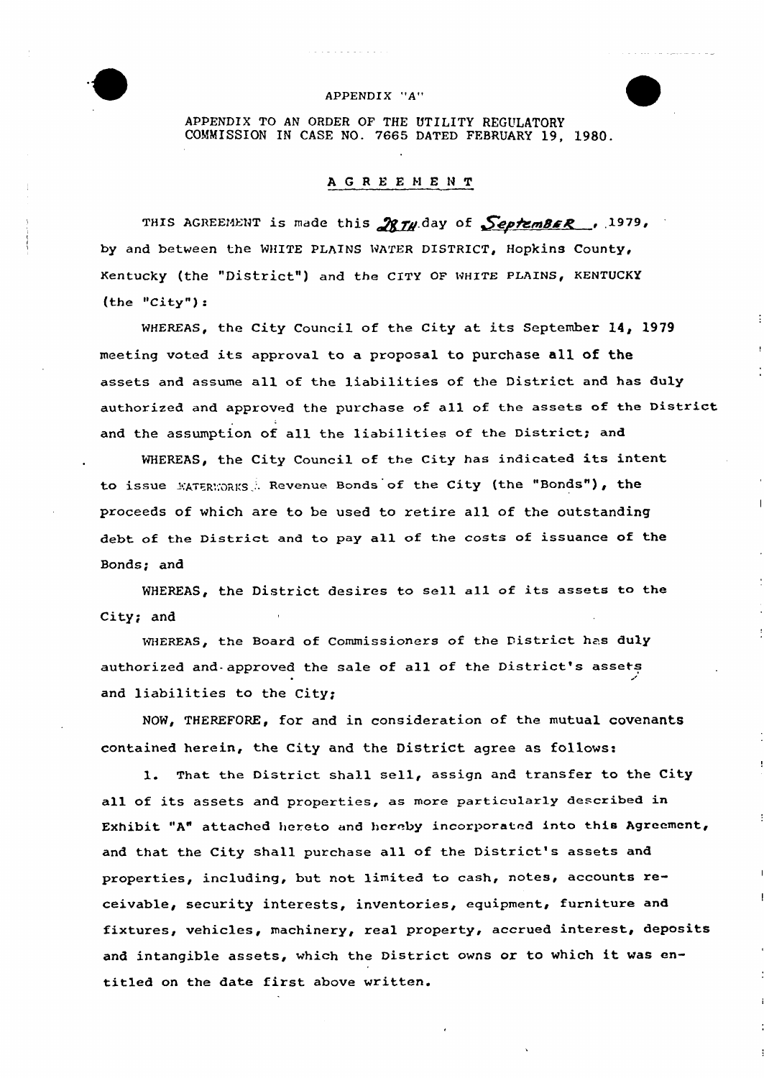

## APPENDIX "A"

APPENDIX TO AN ORDER OF THE UTILITY REGULATORY COMMISSION IN CASE NO. 7665 DATED FEBRUARY 19, 1980.

## AGREEMENT

THIS AGREEMENT is made this  $\mathcal{R}$ TH day of SeptemBER . 1979, by and between the WHITE PLAINS WATER DISTRICT, HoPkins County, Kentucky (the "District") and the CITY OF WHITE PLAINS, KENTUCKY (the "City"}:

WHEREAS, the City Council of the City at its September l4, 1979 meeting voted its approval to a proposal to purchase all of the assets and assume all of the liabilities of the District and has duly authorized and approved the purchase of all of the assets of the District and the assumption of all the liabilities of the District; and

WHEREAS, the City Council of the City has indicated its intent to issue MATERWORKS. Revenue Bonds of the City (the "Bonds"), the proceeds of which are to be used to retire all of the outstanding debt of the District and to pay all of the costs of issuance of the Bonds; and

WHEREAS, the District desires to sell all of its assets to the City; and

WHEREAS, the Board of Commissioners of the District has duly authorized and- approved the sale of all of the District's assets and liabilities to the City;

NOW, THEREFORE, for and in consideration of the mutual covenants contained herein, the City and the District agree as follows:

1. That the District shall sell, assign and transfer to the City all of its assets and properties, as more particularly described in Exhibit "A" attached hereto and hereby incorporated into this Agreement, and that the City shall purchase all of the District's assets and properties, including, but not limited to cash, notes, accounts receivable, security interests, inventories, equipment, furniture and fixtures, vehicles, machinery, real property, accrued interest, deposits and intangible assets, which the District owns or to which it was entitled on the date first above written.